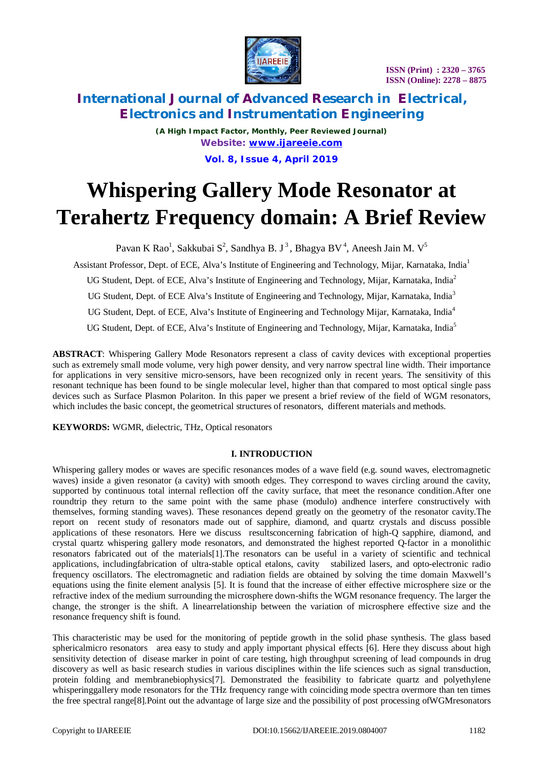

*(A High Impact Factor, Monthly, Peer Reviewed Journal) Website: [www.ijareeie.com](http://www.ijareeie.com)* **Vol. 8, Issue 4, April 2019**

# **Whispering Gallery Mode Resonator at Terahertz Frequency domain: A Brief Review**

Pavan K Rao<sup>1</sup>, Sakkubai S<sup>2</sup>, Sandhya B. J<sup>3</sup>, Bhagya BV<sup>4</sup>, Aneesh Jain M. V<sup>5</sup>

Assistant Professor, Dept. of ECE, Alva's Institute of Engineering and Technology, Mijar, Karnataka, India<sup>1</sup>

UG Student, Dept. of ECE, Alva's Institute of Engineering and Technology, Mijar, Karnataka, India<sup>2</sup>

UG Student, Dept. of ECE Alva's Institute of Engineering and Technology, Mijar, Karnataka, India<sup>3</sup>

UG Student, Dept. of ECE, Alva's Institute of Engineering and Technology Mijar, Karnataka, India<sup>4</sup>

UG Student, Dept. of ECE, Alva's Institute of Engineering and Technology, Mijar, Karnataka, India<sup>5</sup>

**ABSTRACT**: Whispering Gallery Mode Resonators represent a class of cavity devices with exceptional properties such as extremely small mode volume, very high power density, and very narrow spectral line width. Their importance for applications in very sensitive micro-sensors, have been recognized only in recent years. The sensitivity of this resonant technique has been found to be single molecular level, higher than that compared to most optical single pass devices such as Surface Plasmon Polariton. In this paper we present a brief review of the field of WGM resonators, which includes the basic concept, the geometrical structures of resonators, different materials and methods.

**KEYWORDS:** WGMR, dielectric, THz, Optical resonators

## **I. INTRODUCTION**

Whispering gallery modes or waves are specific resonances modes of a wave field (e.g. sound waves, electromagnetic waves) inside a given resonator (a cavity) with smooth edges. They correspond to waves circling around the cavity, supported by continuous total internal reflection off the cavity surface, that meet the resonance condition.After one roundtrip they return to the same point with the same phase (modulo) andhence interfere constructively with themselves, forming standing waves). These resonances depend greatly on the geometry of the resonator cavity.The report on recent study of resonators made out of sapphire, diamond, and quartz crystals and discuss possible applications of these resonators. Here we discuss resultsconcerning fabrication of high-Q sapphire, diamond, and crystal quartz whispering gallery mode resonators, and demonstrated the highest reported Q-factor in a monolithic resonators fabricated out of the materials[1].The resonators can be useful in a variety of scientific and technical applications, includingfabrication of ultra-stable optical etalons, cavity stabilized lasers, and opto-electronic radio frequency oscillators. The electromagnetic and radiation fields are obtained by solving the time domain Maxwell's equations using the finite element analysis [5]. It is found that the increase of either effective microsphere size or the refractive index of the medium surrounding the microsphere down-shifts the WGM resonance frequency. The larger the change, the stronger is the shift. A linearrelationship between the variation of microsphere effective size and the resonance frequency shift is found.

This characteristic may be used for the monitoring of peptide growth in the solid phase synthesis. The glass based sphericalmicro resonators area easy to study and apply important physical effects [6]. Here they discuss about high sensitivity detection of disease marker in point of care testing, high throughput screening of lead compounds in drug discovery as well as basic research studies in various disciplines within the life sciences such as signal transduction, protein folding and membranebiophysics[7]. Demonstrated the feasibility to fabricate quartz and polyethylene whisperinggallery mode resonators for the THz frequency range with coinciding mode spectra overmore than ten times the free spectral range[8].Point out the advantage of large size and the possibility of post processing ofWGMresonators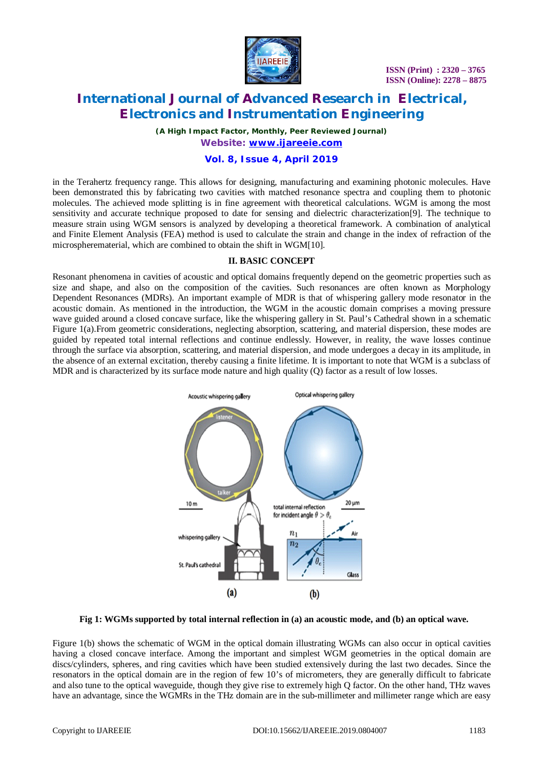

*(A High Impact Factor, Monthly, Peer Reviewed Journal) Website: [www.ijareeie.com](http://www.ijareeie.com)*

## **Vol. 8, Issue 4, April 2019**

in the Terahertz frequency range. This allows for designing, manufacturing and examining photonic molecules. Have been demonstrated this by fabricating two cavities with matched resonance spectra and coupling them to photonic molecules. The achieved mode splitting is in fine agreement with theoretical calculations. WGM is among the most sensitivity and accurate technique proposed to date for sensing and dielectric characterization[9]. The technique to measure strain using WGM sensors is analyzed by developing a theoretical framework. A combination of analytical and Finite Element Analysis (FEA) method is used to calculate the strain and change in the index of refraction of the microspherematerial, which are combined to obtain the shift in WGM[10].

#### **II. BASIC CONCEPT**

Resonant phenomena in cavities of acoustic and optical domains frequently depend on the geometric properties such as size and shape, and also on the composition of the cavities. Such resonances are often known as Morphology Dependent Resonances (MDRs). An important example of MDR is that of whispering gallery mode resonator in the acoustic domain. As mentioned in the introduction, the WGM in the acoustic domain comprises a moving pressure wave guided around a closed concave surface, like the whispering gallery in St. Paul's Cathedral shown in a schematic Figure 1(a).From geometric considerations, neglecting absorption, scattering, and material dispersion, these modes are guided by repeated total internal reflections and continue endlessly. However, in reality, the wave losses continue through the surface via absorption, scattering, and material dispersion, and mode undergoes a decay in its amplitude, in the absence of an external excitation, thereby causing a finite lifetime. It is important to note that WGM is a subclass of MDR and is characterized by its surface mode nature and high quality (Q) factor as a result of low losses.



#### **Fig 1: WGMs supported by total internal reflection in (a) an acoustic mode, and (b) an optical wave.**

Figure 1(b) shows the schematic of WGM in the optical domain illustrating WGMs can also occur in optical cavities having a closed concave interface. Among the important and simplest WGM geometries in the optical domain are discs/cylinders, spheres, and ring cavities which have been studied extensively during the last two decades. Since the resonators in the optical domain are in the region of few 10's of micrometers, they are generally difficult to fabricate and also tune to the optical waveguide, though they give rise to extremely high Q factor. On the other hand, THz waves have an advantage, since the WGMRs in the THz domain are in the sub-millimeter and millimeter range which are easy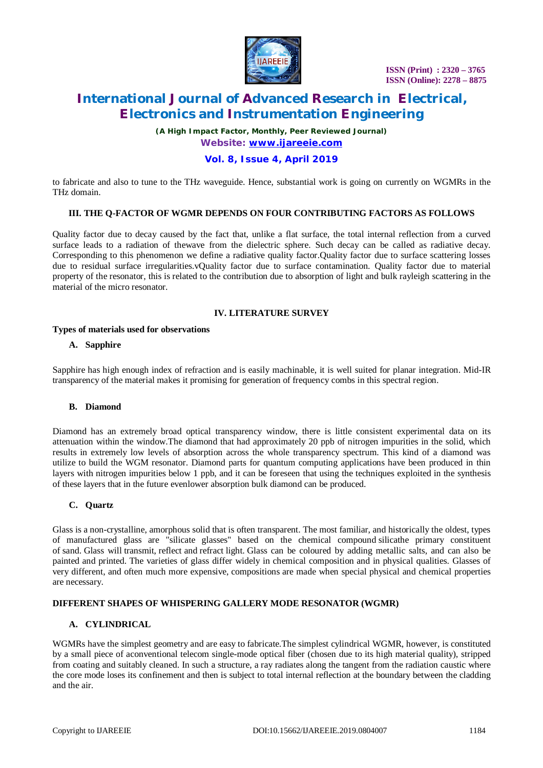

*(A High Impact Factor, Monthly, Peer Reviewed Journal) Website: [www.ijareeie.com](http://www.ijareeie.com)*

## **Vol. 8, Issue 4, April 2019**

to fabricate and also to tune to the THz waveguide. Hence, substantial work is going on currently on WGMRs in the THz domain.

## **III. THE Q-FACTOR OF WGMR DEPENDS ON FOUR CONTRIBUTING FACTORS AS FOLLOWS**

Quality factor due to decay caused by the fact that, unlike a flat surface, the total internal reflection from a curved surface leads to a radiation of thewave from the dielectric sphere. Such decay can be called as radiative decay. Corresponding to this phenomenon we define a radiative quality factor.Quality factor due to surface scattering losses due to residual surface irregularities.vQuality factor due to surface contamination. Quality factor due to material property of the resonator, this is related to the contribution due to absorption of light and bulk rayleigh scattering in the material of the micro resonator.

#### **IV. LITERATURE SURVEY**

#### **Types of materials used for observations**

#### **A. Sapphire**

Sapphire has high enough index of refraction and is easily machinable, it is well suited for planar integration. Mid-IR transparency of the material makes it promising for generation of frequency combs in this spectral region.

#### **B. Diamond**

Diamond has an extremely broad optical transparency window, there is little consistent experimental data on its attenuation within the window.The diamond that had approximately 20 ppb of nitrogen impurities in the solid, which results in extremely low levels of absorption across the whole transparency spectrum. This kind of a diamond was utilize to build the WGM resonator. Diamond parts for quantum computing applications have been produced in thin layers with nitrogen impurities below 1 ppb, and it can be foreseen that using the techniques exploited in the synthesis of these layers that in the future evenlower absorption bulk diamond can be produced.

#### **C. Quartz**

Glass is a non-crystalline, amorphous solid that is often transparent. The most familiar, and historically the oldest, types of manufactured glass are "silicate glasses" based on the chemical compound silicathe primary constituent of sand. Glass will transmit, reflect and refract light. Glass can be coloured by adding metallic salts, and can also be painted and printed. The varieties of glass differ widely in chemical composition and in physical qualities. Glasses of very different, and often much more expensive, compositions are made when special physical and chemical properties are necessary.

#### **DIFFERENT SHAPES OF WHISPERING GALLERY MODE RESONATOR (WGMR)**

#### **A. CYLINDRICAL**

WGMRs have the simplest geometry and are easy to fabricate.The simplest cylindrical WGMR, however, is constituted by a small piece of aconventional telecom single-mode optical fiber (chosen due to its high material quality), stripped from coating and suitably cleaned. In such a structure, a ray radiates along the tangent from the radiation caustic where the core mode loses its confinement and then is subject to total internal reflection at the boundary between the cladding and the air.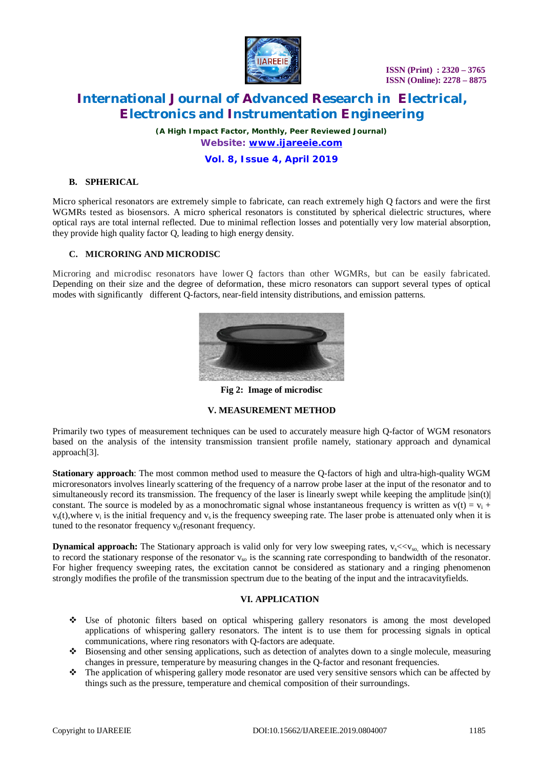

*(A High Impact Factor, Monthly, Peer Reviewed Journal) Website: [www.ijareeie.com](http://www.ijareeie.com)*

## **Vol. 8, Issue 4, April 2019**

## **B. SPHERICAL**

Micro spherical resonators are extremely simple to fabricate, can reach extremely high Q factors and were the first WGMRs tested as biosensors. A micro spherical resonators is constituted by spherical dielectric structures, where optical rays are total internal reflected. Due to minimal reflection losses and potentially very low material absorption, they provide high quality factor Q, leading to high energy density.

#### **C. MICRORING AND MICRODISC**

Microring and microdisc resonators have lower Q factors than other WGMRs, but can be easily fabricated. Depending on their size and the degree of deformation, these micro resonators can support several types of optical modes with significantly different Q-factors, near-field intensity distributions, and emission patterns.



**Fig 2: Image of microdisc**

#### **V. MEASUREMENT METHOD**

Primarily two types of measurement techniques can be used to accurately measure high Q-factor of WGM resonators based on the analysis of the intensity transmission transient profile namely, stationary approach and dynamical approach[3].

**Stationary approach**: The most common method used to measure the Q-factors of high and ultra-high-quality WGM microresonators involves linearly scattering of the frequency of a narrow probe laser at the input of the resonator and to simultaneously record its transmission. The frequency of the laser is linearly swept while keeping the amplitude  $|\sin(t)|$ constant. The source is modeled by as a monochromatic signal whose instantaneous frequency is written as  $v(t) = v_i + v_j$  $v<sub>s</sub>(t)$ , where  $v<sub>i</sub>$  is the initial frequency and  $v<sub>s</sub>$  is the frequency sweeping rate. The laser probe is attenuated only when it is tuned to the resonator frequency  $v_0$ (resonant frequency.

**Dynamical approach:** The Stationary approach is valid only for very low sweeping rates,  $v_s \ll v_{so}$ , which is necessary to record the stationary response of the resonator  $v_{so}$  is the scanning rate corresponding to bandwidth of the resonator. For higher frequency sweeping rates, the excitation cannot be considered as stationary and a ringing phenomenon strongly modifies the profile of the transmission spectrum due to the beating of the input and the intracavityfields.

#### **VI. APPLICATION**

- Use of photonic filters based on optical whispering gallery resonators is among the most developed applications of whispering gallery resonators. The intent is to use them for processing signals in optical communications, where ring resonators with Q-factors are adequate.
- Biosensing and other sensing applications, such as detection of analytes down to a single molecule, measuring changes in pressure, temperature by measuring changes in the Q-factor and resonant frequencies.
- The application of whispering gallery mode resonator are used very sensitive sensors which can be affected by things such as the pressure, temperature and chemical composition of their surroundings.